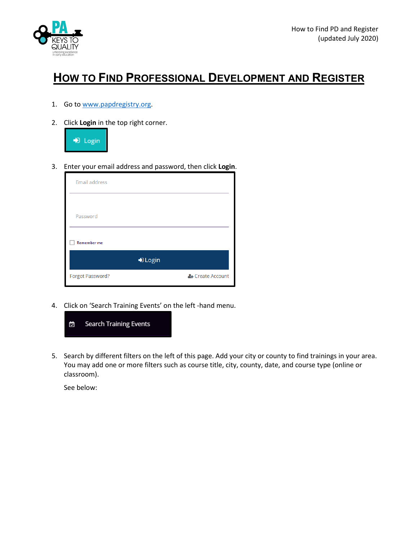

## **HOW TO FIND PROFESSIONAL DEVELOPMENT AND REGISTER**

- 1. Go to [www.papdregistry.org.](http://www.papdregistry.org/)
- 2. Click **Login** in the top right corner.



3. Enter your email address and password, then click **Login**.

| <b>Email address</b> |                  |
|----------------------|------------------|
|                      |                  |
| Password             |                  |
| <b>Remember me</b>   |                  |
|                      | D Login          |
| Forgot Password?     | & Create Account |

4. Click on 'Search Training Events' on the left -hand menu.



5. Search by different filters on the left of this page. Add your city or county to find trainings in your area. You may add one or more filters such as course title, city, county, date, and course type (online or classroom).

See below: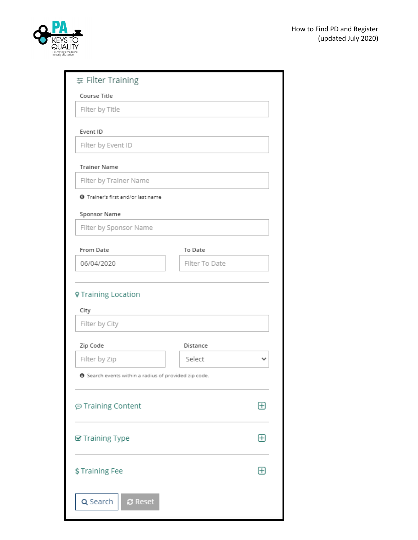

| # Filter Training                                            |                |              |  |  |  |
|--------------------------------------------------------------|----------------|--------------|--|--|--|
| Course Title                                                 |                |              |  |  |  |
| Filter by Title                                              |                |              |  |  |  |
|                                                              |                |              |  |  |  |
| Event ID                                                     |                |              |  |  |  |
| Filter by Event ID                                           |                |              |  |  |  |
| <b>Trainer Name</b>                                          |                |              |  |  |  |
| Filter by Trainer Name                                       |                |              |  |  |  |
| <b>0</b> Trainer's first and/or last name                    |                |              |  |  |  |
| Sponsor Name                                                 |                |              |  |  |  |
| Filter by Sponsor Name                                       |                |              |  |  |  |
| From Date                                                    | To Date        |              |  |  |  |
| 06/04/2020                                                   | Filter To Date |              |  |  |  |
|                                                              |                |              |  |  |  |
| <b>V</b> Training Location<br>City<br>Filter by City         |                |              |  |  |  |
|                                                              |                |              |  |  |  |
| Zip Code                                                     | Distance       |              |  |  |  |
| Filter by Zip                                                | Select         |              |  |  |  |
| <b>O</b> Search events within a radius of provided zip code. |                |              |  |  |  |
| ⊕ Training Content                                           |                | $\boxplus$   |  |  |  |
| <b>Se</b> Training Type                                      |                | $\boxplus$   |  |  |  |
|                                                              |                |              |  |  |  |
| \$Training Fee                                               |                | $\mathbf{H}$ |  |  |  |
|                                                              |                |              |  |  |  |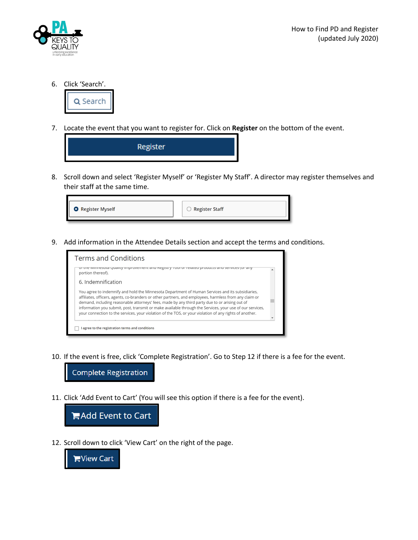

6. Click 'Search'.



7. Locate the event that you want to register for. Click on **Register** on the bottom of the event.



8. Scroll down and select 'Register Myself' or 'Register My Staff'. A director may register themselves and their staff at the same time.

| <b>O</b> Register Myself | Register Staff |
|--------------------------|----------------|
|                          |                |

9. Add information in the Attendee Details section and accept the terms and conditions.



10. If the event is free, click 'Complete Registration'. Go to Step 12 if there is a fee for the event.

**Complete Registration** 

11. Click 'Add Event to Cart' (You will see this option if there is a fee for the event).



12. Scroll down to click 'View Cart' on the right of the page.